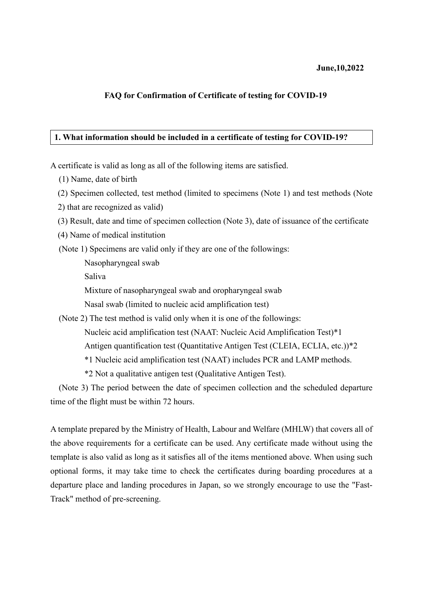#### **June,10,2022**

### **FAQ for Confirmation of Certificate of testing for COVID-19**

### **1. What information should be included in a certificate of testing for COVID-19?**

A certificate is valid as long as all of the following items are satisfied.

(1) Name, date of birth

(2) Specimen collected, test method (limited to specimens (Note 1) and test methods (Note

2) that are recognized as valid)

(3) Result, date and time of specimen collection (Note 3), date of issuance of the certificate

(4) Name of medical institution

(Note 1) Specimens are valid only if they are one of the followings:

Nasopharyngeal swab

Saliva

Mixture of nasopharyngeal swab and oropharyngeal swab

Nasal swab (limited to nucleic acid amplification test)

(Note 2) The test method is valid only when it is one of the followings:

Nucleic acid amplification test (NAAT: Nucleic Acid Amplification Test)\*1

Antigen quantification test (Quantitative Antigen Test (CLEIA, ECLIA, etc.))\*2

\*1 Nucleic acid amplification test (NAAT) includes PCR and LAMP methods.

\*2 Not a qualitative antigen test (Qualitative Antigen Test).

(Note 3) The period between the date of specimen collection and the scheduled departure time of the flight must be within 72 hours.

A template prepared by the Ministry of Health, Labour and Welfare (MHLW) that covers all of the above requirements for a certificate can be used. Any certificate made without using the template is also valid as long as it satisfies all of the items mentioned above. When using such optional forms, it may take time to check the certificates during boarding procedures at a departure place and landing procedures in Japan, so we strongly encourage to use the "Fast-Track" method of pre-screening.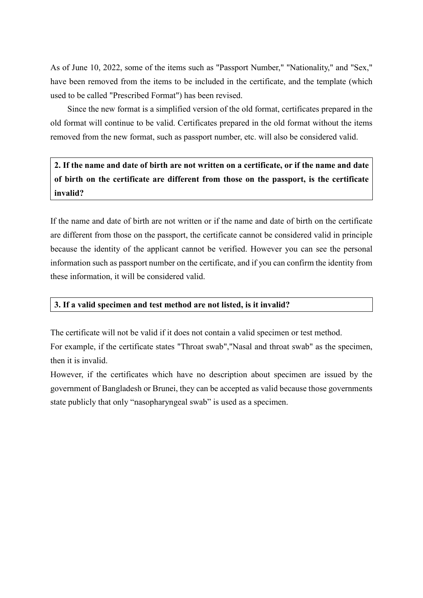As of June 10, 2022, some of the items such as "Passport Number," "Nationality," and "Sex," have been removed from the items to be included in the certificate, and the template (which used to be called "Prescribed Format") has been revised.

Since the new format is a simplified version of the old format, certificates prepared in the old format will continue to be valid. Certificates prepared in the old format without the items removed from the new format, such as passport number, etc. will also be considered valid.

2. If the name and date of birth are not written on a certificate, or if the name and date **of birth on the certificate are different from those on the passport, is the certificate invalid?**

If the name and date of birth are not written or if the name and date of birth on the certificate are different from those on the passport, the certificate cannot be considered valid in principle because the identity of the applicant cannot be verified. However you can see the personal information such as passport number on the certificate, and if you can confirm the identity from these information, it will be considered valid.

#### **3. If a valid specimen and test method are not listed, is it invalid?**

The certificate will not be valid if it does not contain a valid specimen or test method.

For example, if the certificate states "Throat swab","Nasal and throat swab" as the specimen, then it is invalid.

However, if the certificates which have no description about specimen are issued by the government of Bangladesh or Brunei, they can be accepted as valid because those governments state publicly that only "nasopharyngeal swab" is used as a specimen.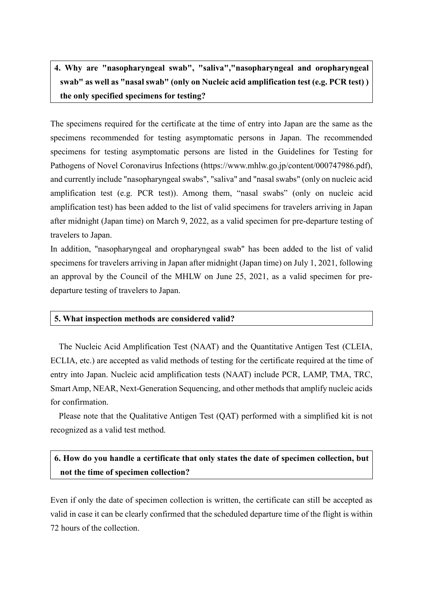# **4. Why are "nasopharyngeal swab", "saliva","nasopharyngeal and oropharyngeal swab" as well as "nasal swab" (only on Nucleic acid amplification test (e.g. PCR test) ) the only specified specimens for testing?**

The specimens required for the certificate at the time of entry into Japan are the same as the specimens recommended for testing asymptomatic persons in Japan. The recommended specimens for testing asymptomatic persons are listed in the Guidelines for Testing for Pathogens of Novel Coronavirus Infections (https://www.mhlw.go.jp/content/000747986.pdf), and currently include "nasopharyngeal swabs", "saliva" and "nasal swabs" (only on nucleic acid amplification test (e.g. PCR test)). Among them, "nasal swabs" (only on nucleic acid amplification test) has been added to the list of valid specimens for travelers arriving in Japan after midnight (Japan time) on March 9, 2022, as a valid specimen for pre-departure testing of travelers to Japan.

In addition, "nasopharyngeal and oropharyngeal swab" has been added to the list of valid specimens for travelers arriving in Japan after midnight (Japan time) on July 1, 2021, following an approval by the Council of the MHLW on June 25, 2021, as a valid specimen for predeparture testing of travelers to Japan.

### **5. What inspection methods are considered valid?**

The Nucleic Acid Amplification Test (NAAT) and the Quantitative Antigen Test (CLEIA, ECLIA, etc.) are accepted as valid methods of testing for the certificate required at the time of entry into Japan. Nucleic acid amplification tests (NAAT) include PCR, LAMP, TMA, TRC, Smart Amp, NEAR, Next-Generation Sequencing, and other methods that amplify nucleic acids for confirmation.

Please note that the Qualitative Antigen Test (QAT) performed with a simplified kit is not recognized as a valid test method.

# **6. How do you handle a certificate that only states the date of specimen collection, but not the time of specimen collection?**

Even if only the date of specimen collection is written, the certificate can still be accepted as valid in case it can be clearly confirmed that the scheduled departure time of the flight is within 72 hours of the collection.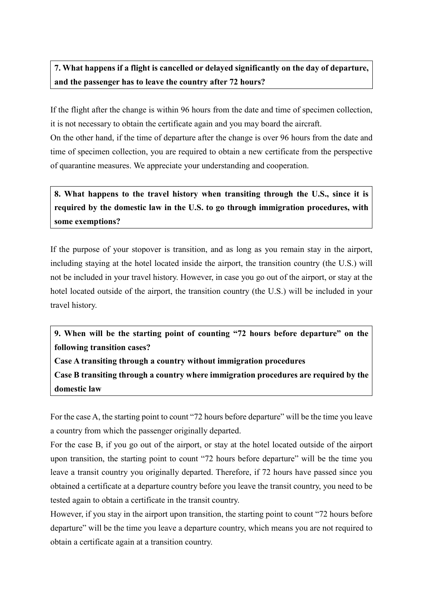# **7. What happens if a flight is cancelled or delayed significantly on the day of departure, and the passenger has to leave the country after 72 hours?**

If the flight after the change is within 96 hours from the date and time of specimen collection, it is not necessary to obtain the certificate again and you may board the aircraft.

On the other hand, if the time of departure after the change is over 96 hours from the date and time of specimen collection, you are required to obtain a new certificate from the perspective of quarantine measures. We appreciate your understanding and cooperation.

**8. What happens to the travel history when transiting through the U.S., since it is required by the domestic law in the U.S. to go through immigration procedures, with some exemptions?**

If the purpose of your stopover is transition, and as long as you remain stay in the airport, including staying at the hotel located inside the airport, the transition country (the U.S.) will not be included in your travel history. However, in case you go out of the airport, or stay at the hotel located outside of the airport, the transition country (the U.S.) will be included in your travel history.

**9. When will be the starting point of counting "72 hours before departure" on the following transition cases?**

**Case A transiting through a country without immigration procedures**

**Case B transiting through a country where immigration procedures are required by the domestic law**

For the case A, the starting point to count "72 hours before departure" will be the time you leave a country from which the passenger originally departed.

For the case B, if you go out of the airport, or stay at the hotel located outside of the airport upon transition, the starting point to count "72 hours before departure" will be the time you leave a transit country you originally departed. Therefore, if 72 hours have passed since you obtained a certificate at a departure country before you leave the transit country, you need to be tested again to obtain a certificate in the transit country.

However, if you stay in the airport upon transition, the starting point to count "72 hours before departure" will be the time you leave a departure country, which means you are not required to obtain a certificate again at a transition country.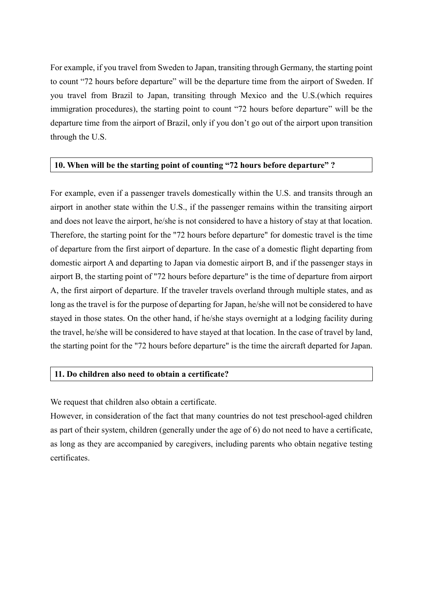For example, if you travel from Sweden to Japan, transiting through Germany, the starting point to count "72 hours before departure" will be the departure time from the airport of Sweden. If you travel from Brazil to Japan, transiting through Mexico and the U.S.(which requires immigration procedures), the starting point to count "72 hours before departure" will be the departure time from the airport of Brazil, only if you don't go out of the airport upon transition through the U.S.

### **10. When will be the starting point of counting "72 hours before departure" ?**

For example, even if a passenger travels domestically within the U.S. and transits through an airport in another state within the U.S., if the passenger remains within the transiting airport and does not leave the airport, he/she is not considered to have a history of stay at that location. Therefore, the starting point for the "72 hours before departure" for domestic travel is the time of departure from the first airport of departure. In the case of a domestic flight departing from domestic airport A and departing to Japan via domestic airport B, and if the passenger stays in airport B, the starting point of "72 hours before departure" is the time of departure from airport A, the first airport of departure. If the traveler travels overland through multiple states, and as long as the travel is for the purpose of departing for Japan, he/she will not be considered to have stayed in those states. On the other hand, if he/she stays overnight at a lodging facility during the travel, he/she will be considered to have stayed at that location. In the case of travel by land, the starting point for the "72 hours before departure" is the time the aircraft departed for Japan.

#### **11. Do children also need to obtain a certificate?**

We request that children also obtain a certificate.

However, in consideration of the fact that many countries do not test preschool-aged children as part of their system, children (generally under the age of 6) do not need to have a certificate, as long as they are accompanied by caregivers, including parents who obtain negative testing certificates.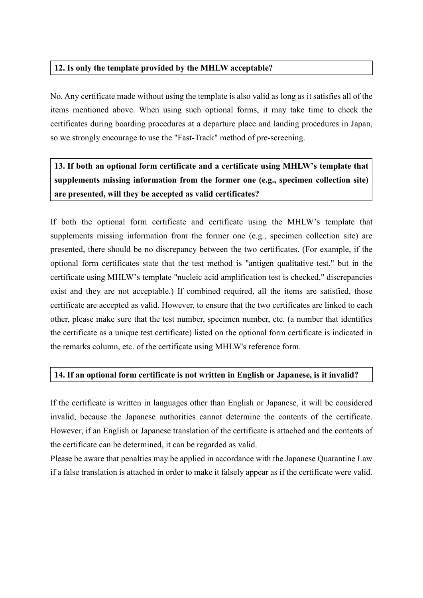### **12. Is only the template provided by the MHLW acceptable?**

No. Any certificate made without using the template is also valid as long as it satisfies all of the items mentioned above. When using such optional forms, it may take time to check the certificates during boarding procedures at a departure place and landing procedures in Japan, so we strongly encourage to use the "Fast-Track" method of pre-screening.

**13. If both an optional form certificate and a certificate using MHLW's template that supplements missing information from the former one (e.g., specimen collection site) are presented, will they be accepted as valid certificates?**

If both the optional form certificate and certificate using the MHLW's template that supplements missing information from the former one (e.g., specimen collection site) are presented, there should be no discrepancy between the two certificates. (For example, if the optional form certificates state that the test method is "antigen qualitative test," but in the certificate using MHLW's template "nucleic acid amplification test is checked," discrepancies exist and they are not acceptable.) If combined required, all the items are satisfied, those certificate are accepted as valid. However, to ensure that the two certificates are linked to each other, please make sure that the test number, specimen number, etc. (a number that identifies the certificate as a unique test certificate) listed on the optional form certificate is indicated in the remarks column, etc. of the certificate using MHLW's reference form.

## **14. If an optional form certificate is not written in English or Japanese, is it invalid?**

If the certificate is written in languages other than English or Japanese, it will be considered invalid, because the Japanese authorities cannot determine the contents of the certificate. However, if an English or Japanese translation of the certificate is attached and the contents of the certificate can be determined, it can be regarded as valid.

Please be aware that penalties may be applied in accordance with the Japanese Quarantine Law if a false translation is attached in order to make it falsely appear as if the certificate were valid.